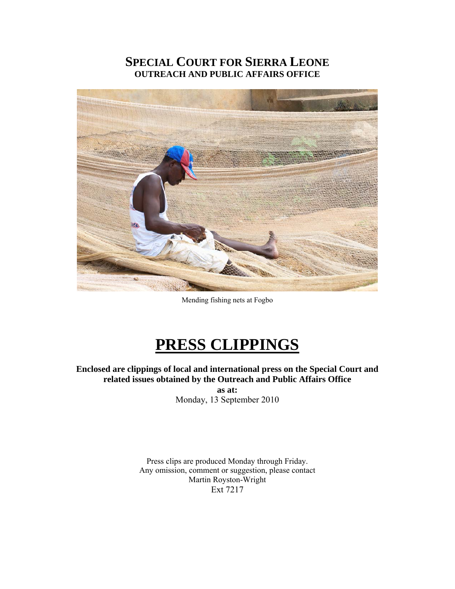# **SPECIAL COURT FOR SIERRA LEONE OUTREACH AND PUBLIC AFFAIRS OFFICE**



Mending fishing nets at Fogbo

# **PRESS CLIPPINGS**

**Enclosed are clippings of local and international press on the Special Court and related issues obtained by the Outreach and Public Affairs Office as at:** 

Monday, 13 September 2010

Press clips are produced Monday through Friday. Any omission, comment or suggestion, please contact Martin Royston-Wright Ext 7217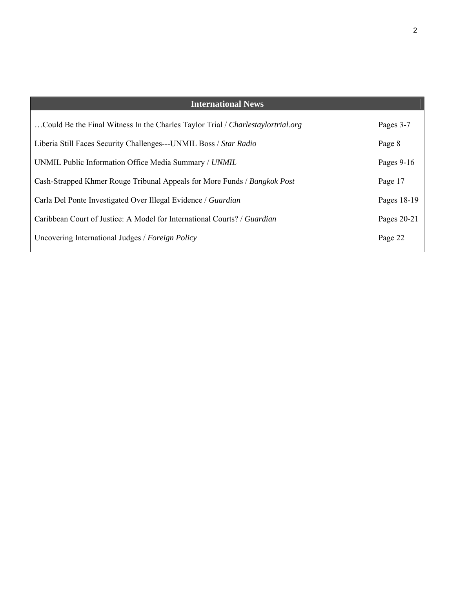| <b>International News</b>                                                       |              |
|---------------------------------------------------------------------------------|--------------|
| Could Be the Final Witness In the Charles Taylor Trial / Charlestaylortrial.org | Pages 3-7    |
| Liberia Still Faces Security Challenges---UNMIL Boss / Star Radio               | Page 8       |
| UNMIL Public Information Office Media Summary / UNMIL                           | Pages $9-16$ |
| Cash-Strapped Khmer Rouge Tribunal Appeals for More Funds / Bangkok Post        | Page 17      |
| Carla Del Ponte Investigated Over Illegal Evidence / Guardian                   | Pages 18-19  |
| Caribbean Court of Justice: A Model for International Courts? / Guardian        | Pages 20-21  |
| Uncovering International Judges / Foreign Policy                                | Page 22      |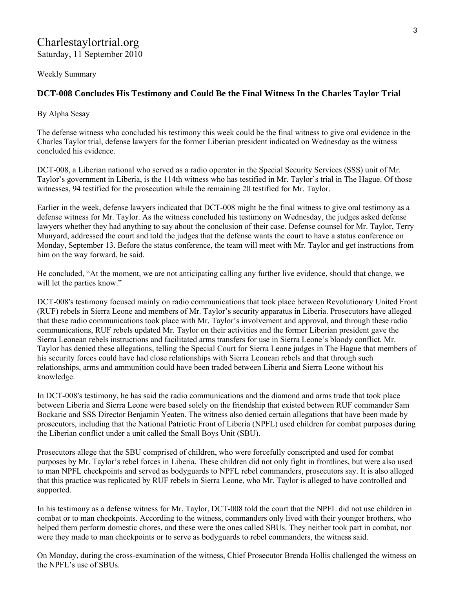### Charlestaylortrial.org Saturday, 11 September 2010

Weekly Summary

### **DCT-008 Concludes His Testimony and Could Be the Final Witness In the Charles Taylor Trial**

By Alpha Sesay

The defense witness who concluded his testimony this week could be the final witness to give oral evidence in the Charles Taylor trial, defense lawyers for the former Liberian president indicated on Wednesday as the witness concluded his evidence.

DCT-008, a Liberian national who served as a radio operator in the Special Security Services (SSS) unit of Mr. Taylor's government in Liberia, is the 114th witness who has testified in Mr. Taylor's trial in The Hague. Of those witnesses, 94 testified for the prosecution while the remaining 20 testified for Mr. Taylor.

Earlier in the week, defense lawyers indicated that DCT-008 might be the final witness to give oral testimony as a defense witness for Mr. Taylor. As the witness concluded his testimony on Wednesday, the judges asked defense lawyers whether they had anything to say about the conclusion of their case. Defense counsel for Mr. Taylor, Terry Munyard, addressed the court and told the judges that the defense wants the court to have a status conference on Monday, September 13. Before the status conference, the team will meet with Mr. Taylor and get instructions from him on the way forward, he said.

He concluded, "At the moment, we are not anticipating calling any further live evidence, should that change, we will let the parties know."

DCT-008′s testimony focused mainly on radio communications that took place between Revolutionary United Front (RUF) rebels in Sierra Leone and members of Mr. Taylor's security apparatus in Liberia. Prosecutors have alleged that these radio communications took place with Mr. Taylor's involvement and approval, and through these radio communications, RUF rebels updated Mr. Taylor on their activities and the former Liberian president gave the Sierra Leonean rebels instructions and facilitated arms transfers for use in Sierra Leone's bloody conflict. Mr. Taylor has denied these allegations, telling the Special Court for Sierra Leone judges in The Hague that members of his security forces could have had close relationships with Sierra Leonean rebels and that through such relationships, arms and ammunition could have been traded between Liberia and Sierra Leone without his knowledge.

In DCT-008′s testimony, he has said the radio communications and the diamond and arms trade that took place between Liberia and Sierra Leone were based solely on the friendship that existed between RUF commander Sam Bockarie and SSS Director Benjamin Yeaten. The witness also denied certain allegations that have been made by prosecutors, including that the National Patriotic Front of Liberia (NPFL) used children for combat purposes during the Liberian conflict under a unit called the Small Boys Unit (SBU).

Prosecutors allege that the SBU comprised of children, who were forcefully conscripted and used for combat purposes by Mr. Taylor's rebel forces in Liberia. These children did not only fight in frontlines, but were also used to man NPFL checkpoints and served as bodyguards to NPFL rebel commanders, prosecutors say. It is also alleged that this practice was replicated by RUF rebels in Sierra Leone, who Mr. Taylor is alleged to have controlled and supported.

In his testimony as a defense witness for Mr. Taylor, DCT-008 told the court that the NPFL did not use children in combat or to man checkpoints. According to the witness, commanders only lived with their younger brothers, who helped them perform domestic chores, and these were the ones called SBUs. They neither took part in combat, nor were they made to man checkpoints or to serve as bodyguards to rebel commanders, the witness said.

On Monday, during the cross-examination of the witness, Chief Prosecutor Brenda Hollis challenged the witness on the NPFL's use of SBUs.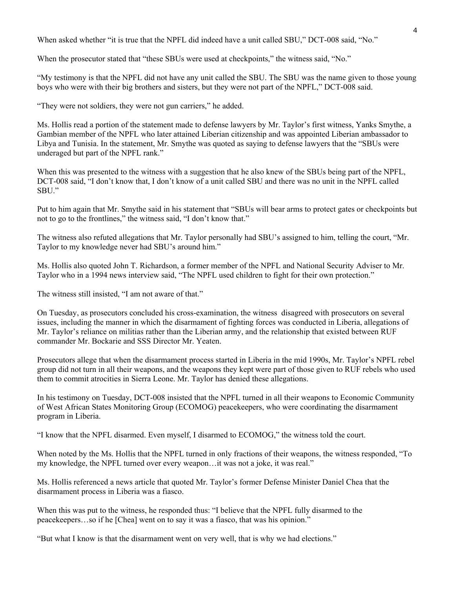When asked whether "it is true that the NPFL did indeed have a unit called SBU," DCT-008 said, "No."

When the prosecutor stated that "these SBUs were used at checkpoints," the witness said, "No."

"My testimony is that the NPFL did not have any unit called the SBU. The SBU was the name given to those young boys who were with their big brothers and sisters, but they were not part of the NPFL," DCT-008 said.

"They were not soldiers, they were not gun carriers," he added.

Ms. Hollis read a portion of the statement made to defense lawyers by Mr. Taylor's first witness, Yanks Smythe, a Gambian member of the NPFL who later attained Liberian citizenship and was appointed Liberian ambassador to Libya and Tunisia. In the statement, Mr. Smythe was quoted as saying to defense lawyers that the "SBUs were underaged but part of the NPFL rank."

When this was presented to the witness with a suggestion that he also knew of the SBUs being part of the NPFL, DCT-008 said, "I don't know that, I don't know of a unit called SBU and there was no unit in the NPFL called SBU."

Put to him again that Mr. Smythe said in his statement that "SBUs will bear arms to protect gates or checkpoints but not to go to the frontlines," the witness said, "I don't know that."

The witness also refuted allegations that Mr. Taylor personally had SBU's assigned to him, telling the court, "Mr. Taylor to my knowledge never had SBU's around him."

Ms. Hollis also quoted John T. Richardson, a former member of the NPFL and National Security Adviser to Mr. Taylor who in a 1994 news interview said, "The NPFL used children to fight for their own protection."

The witness still insisted, "I am not aware of that."

On Tuesday, as prosecutors concluded his cross-examination, the witness disagreed with prosecutors on several issues, including the manner in which the disarmament of fighting forces was conducted in Liberia, allegations of Mr. Taylor's reliance on militias rather than the Liberian army, and the relationship that existed between RUF commander Mr. Bockarie and SSS Director Mr. Yeaten.

Prosecutors allege that when the disarmament process started in Liberia in the mid 1990s, Mr. Taylor's NPFL rebel group did not turn in all their weapons, and the weapons they kept were part of those given to RUF rebels who used them to commit atrocities in Sierra Leone. Mr. Taylor has denied these allegations.

In his testimony on Tuesday, DCT-008 insisted that the NPFL turned in all their weapons to Economic Community of West African States Monitoring Group (ECOMOG) peacekeepers, who were coordinating the disarmament program in Liberia.

"I know that the NPFL disarmed. Even myself, I disarmed to ECOMOG," the witness told the court.

When noted by the Ms. Hollis that the NPFL turned in only fractions of their weapons, the witness responded, "To my knowledge, the NPFL turned over every weapon…it was not a joke, it was real."

Ms. Hollis referenced a news article that quoted Mr. Taylor's former Defense Minister Daniel Chea that the disarmament process in Liberia was a fiasco.

When this was put to the witness, he responded thus: "I believe that the NPFL fully disarmed to the peacekeepers…so if he [Chea] went on to say it was a fiasco, that was his opinion."

"But what I know is that the disarmament went on very well, that is why we had elections."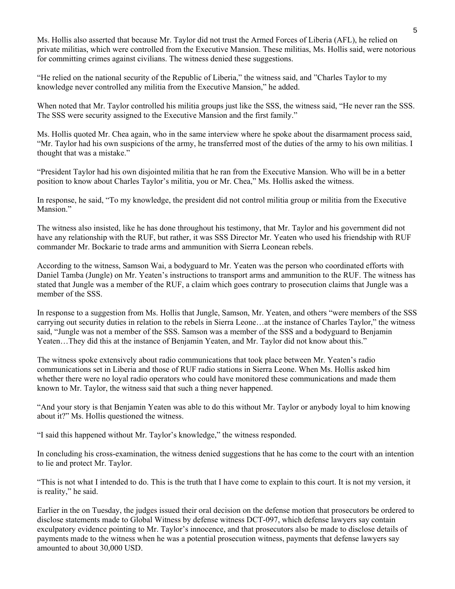Ms. Hollis also asserted that because Mr. Taylor did not trust the Armed Forces of Liberia (AFL), he relied on private militias, which were controlled from the Executive Mansion. These militias, Ms. Hollis said, were notorious for committing crimes against civilians. The witness denied these suggestions.

"He relied on the national security of the Republic of Liberia," the witness said, and "Charles Taylor to my knowledge never controlled any militia from the Executive Mansion," he added.

When noted that Mr. Taylor controlled his militia groups just like the SSS, the witness said, "He never ran the SSS. The SSS were security assigned to the Executive Mansion and the first family."

Ms. Hollis quoted Mr. Chea again, who in the same interview where he spoke about the disarmament process said, "Mr. Taylor had his own suspicions of the army, he transferred most of the duties of the army to his own militias. I thought that was a mistake."

"President Taylor had his own disjointed militia that he ran from the Executive Mansion. Who will be in a better position to know about Charles Taylor's militia, you or Mr. Chea," Ms. Hollis asked the witness.

In response, he said, "To my knowledge, the president did not control militia group or militia from the Executive Mansion."

The witness also insisted, like he has done throughout his testimony, that Mr. Taylor and his government did not have any relationship with the RUF, but rather, it was SSS Director Mr. Yeaten who used his friendship with RUF commander Mr. Bockarie to trade arms and ammunition with Sierra Leonean rebels.

According to the witness, Samson Wai, a bodyguard to Mr. Yeaten was the person who coordinated efforts with Daniel Tamba (Jungle) on Mr. Yeaten's instructions to transport arms and ammunition to the RUF. The witness has stated that Jungle was a member of the RUF, a claim which goes contrary to prosecution claims that Jungle was a member of the SSS.

In response to a suggestion from Ms. Hollis that Jungle, Samson, Mr. Yeaten, and others "were members of the SSS carrying out security duties in relation to the rebels in Sierra Leone…at the instance of Charles Taylor," the witness said, "Jungle was not a member of the SSS. Samson was a member of the SSS and a bodyguard to Benjamin Yeaten…They did this at the instance of Benjamin Yeaten, and Mr. Taylor did not know about this."

The witness spoke extensively about radio communications that took place between Mr. Yeaten's radio communications set in Liberia and those of RUF radio stations in Sierra Leone. When Ms. Hollis asked him whether there were no loyal radio operators who could have monitored these communications and made them known to Mr. Taylor, the witness said that such a thing never happened.

"And your story is that Benjamin Yeaten was able to do this without Mr. Taylor or anybody loyal to him knowing about it?" Ms. Hollis questioned the witness.

"I said this happened without Mr. Taylor's knowledge," the witness responded.

In concluding his cross-examination, the witness denied suggestions that he has come to the court with an intention to lie and protect Mr. Taylor.

"This is not what I intended to do. This is the truth that I have come to explain to this court. It is not my version, it is reality," he said.

Earlier in the on Tuesday, the judges issued their oral decision on the defense motion that prosecutors be ordered to disclose statements made to Global Witness by defense witness DCT-097, which defense lawyers say contain exculpatory evidence pointing to Mr. Taylor's innocence, and that prosecutors also be made to disclose details of payments made to the witness when he was a potential prosecution witness, payments that defense lawyers say amounted to about 30,000 USD.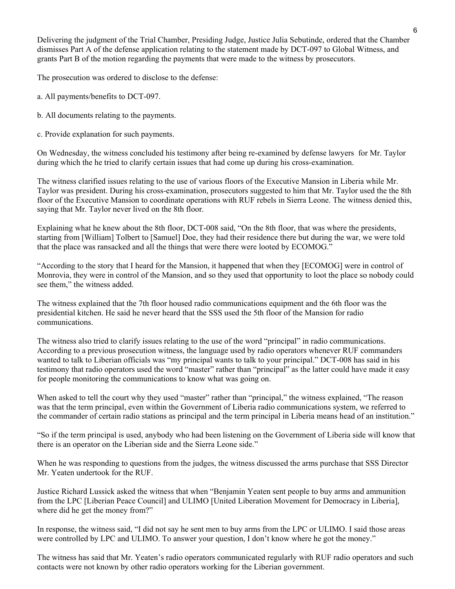Delivering the judgment of the Trial Chamber, Presiding Judge, Justice Julia Sebutinde, ordered that the Chamber dismisses Part A of the defense application relating to the statement made by DCT-097 to Global Witness, and grants Part B of the motion regarding the payments that were made to the witness by prosecutors.

The prosecution was ordered to disclose to the defense:

- a. All payments/benefits to DCT-097.
- b. All documents relating to the payments.
- c. Provide explanation for such payments.

On Wednesday, the witness concluded his testimony after being re-examined by defense lawyers for Mr. Taylor during which the he tried to clarify certain issues that had come up during his cross-examination.

The witness clarified issues relating to the use of various floors of the Executive Mansion in Liberia while Mr. Taylor was president. During his cross-examination, prosecutors suggested to him that Mr. Taylor used the the 8th floor of the Executive Mansion to coordinate operations with RUF rebels in Sierra Leone. The witness denied this, saying that Mr. Taylor never lived on the 8th floor.

Explaining what he knew about the 8th floor, DCT-008 said, "On the 8th floor, that was where the presidents, starting from [William] Tolbert to [Samuel] Doe, they had their residence there but during the war, we were told that the place was ransacked and all the things that were there were looted by ECOMOG."

"According to the story that I heard for the Mansion, it happened that when they [ECOMOG] were in control of Monrovia, they were in control of the Mansion, and so they used that opportunity to loot the place so nobody could see them," the witness added.

The witness explained that the 7th floor housed radio communications equipment and the 6th floor was the presidential kitchen. He said he never heard that the SSS used the 5th floor of the Mansion for radio communications.

The witness also tried to clarify issues relating to the use of the word "principal" in radio communications. According to a previous prosecution witness, the language used by radio operators whenever RUF commanders wanted to talk to Liberian officials was "my principal wants to talk to your principal." DCT-008 has said in his testimony that radio operators used the word "master" rather than "principal" as the latter could have made it easy for people monitoring the communications to know what was going on.

When asked to tell the court why they used "master" rather than "principal," the witness explained, "The reason was that the term principal, even within the Government of Liberia radio communications system, we referred to the commander of certain radio stations as principal and the term principal in Liberia means head of an institution."

"So if the term principal is used, anybody who had been listening on the Government of Liberia side will know that there is an operator on the Liberian side and the Sierra Leone side."

When he was responding to questions from the judges, the witness discussed the arms purchase that SSS Director Mr. Yeaten undertook for the RUF.

Justice Richard Lussick asked the witness that when "Benjamin Yeaten sent people to buy arms and ammunition from the LPC [Liberian Peace Council] and ULIMO [United Liberation Movement for Democracy in Liberia], where did he get the money from?"

In response, the witness said, "I did not say he sent men to buy arms from the LPC or ULIMO. I said those areas were controlled by LPC and ULIMO. To answer your question, I don't know where he got the money."

The witness has said that Mr. Yeaten's radio operators communicated regularly with RUF radio operators and such contacts were not known by other radio operators working for the Liberian government.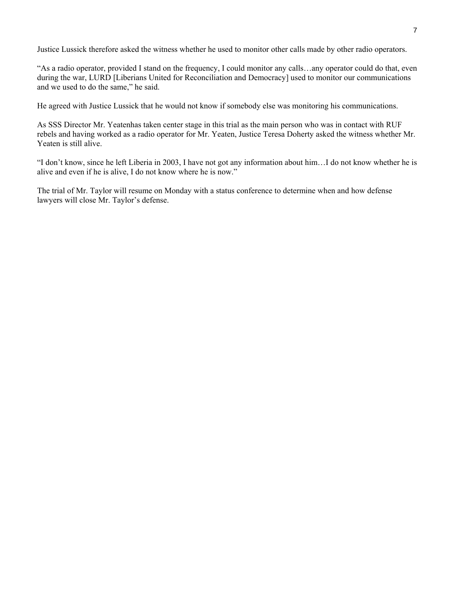Justice Lussick therefore asked the witness whether he used to monitor other calls made by other radio operators.

"As a radio operator, provided I stand on the frequency, I could monitor any calls…any operator could do that, even during the war, LURD [Liberians United for Reconciliation and Democracy] used to monitor our communications and we used to do the same," he said.

He agreed with Justice Lussick that he would not know if somebody else was monitoring his communications.

As SSS Director Mr. Yeatenhas taken center stage in this trial as the main person who was in contact with RUF rebels and having worked as a radio operator for Mr. Yeaten, Justice Teresa Doherty asked the witness whether Mr. Yeaten is still alive.

"I don't know, since he left Liberia in 2003, I have not got any information about him…I do not know whether he is alive and even if he is alive, I do not know where he is now."

The trial of Mr. Taylor will resume on Monday with a status conference to determine when and how defense lawyers will close Mr. Taylor's defense.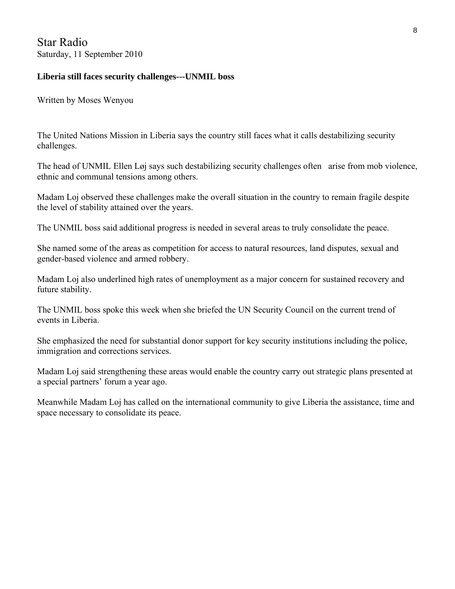Star Radio Saturday, 11 September 2010

### **Liberia still faces security challenges---UNMIL boss**

Written by Moses Wenyou

The United Nations Mission in Liberia says the country still faces what it calls destabilizing security challenges.

The head of UNMIL Ellen Løj says such destabilizing security challenges often arise from mob violence, ethnic and communal tensions among others.

Madam Loj observed these challenges make the overall situation in the country to remain fragile despite the level of stability attained over the years.

The UNMIL boss said additional progress is needed in several areas to truly consolidate the peace.

She named some of the areas as competition for access to natural resources, land disputes, sexual and gender-based violence and armed robbery.

Madam Loj also underlined high rates of unemployment as a major concern for sustained recovery and future stability.

The UNMIL boss spoke this week when she briefed the UN Security Council on the current trend of events in Liberia.

She emphasized the need for substantial donor support for key security institutions including the police, immigration and corrections services.

Madam Loj said strengthening these areas would enable the country carry out strategic plans presented at a special partners' forum a year ago.

Meanwhile Madam Loj has called on the international community to give Liberia the assistance, time and space necessary to consolidate its peace.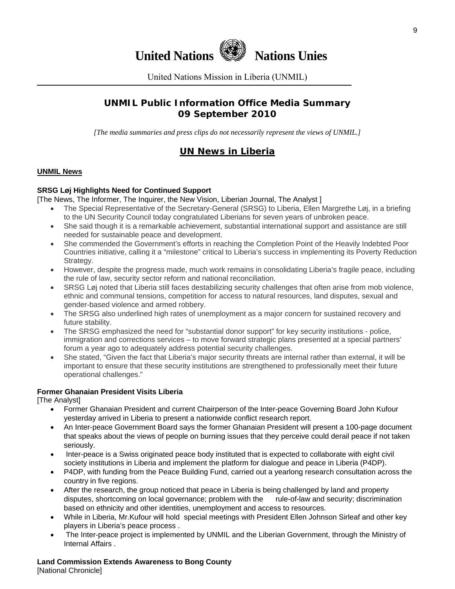

United Nations Mission in Liberia (UNMIL)

### **UNMIL Public Information Office Media Summary 09 September 2010**

*[The media summaries and press clips do not necessarily represent the views of UNMIL.]* 

### **UN News in Liberia**

#### **UNMIL News**

#### **SRSG Løj Highlights Need for Continued Support**

[The News, The Informer, The Inquirer, the New Vision, Liberian Journal, The Analyst ]

- The Special Representative of the Secretary-General (SRSG) to Liberia, Ellen Margrethe Løj, in a briefing to the UN Security Council today congratulated Liberians for seven years of unbroken peace.
- She said though it is a remarkable achievement, substantial international support and assistance are still needed for sustainable peace and development.
- She commended the Government's efforts in reaching the Completion Point of the Heavily Indebted Poor Countries initiative, calling it a "milestone" critical to Liberia's success in implementing its Poverty Reduction Strategy.
- However, despite the progress made, much work remains in consolidating Liberia's fragile peace, including the rule of law, security sector reform and national reconciliation.
- SRSG Løj noted that Liberia still faces destabilizing security challenges that often arise from mob violence, ethnic and communal tensions, competition for access to natural resources, land disputes, sexual and gender-based violence and armed robbery.
- The SRSG also underlined high rates of unemployment as a major concern for sustained recovery and future stability.
- The SRSG emphasized the need for "substantial donor support" for key security institutions police, immigration and corrections services – to move forward strategic plans presented at a special partners' forum a year ago to adequately address potential security challenges.
- She stated, "Given the fact that Liberia's major security threats are internal rather than external, it will be important to ensure that these security institutions are strengthened to professionally meet their future operational challenges."

#### **Former Ghanaian President Visits Liberia**

[The Analyst]

- Former Ghanaian President and current Chairperson of the Inter-peace Governing Board John Kufour yesterday arrived in Liberia to present a nationwide conflict research report.
- An Inter-peace Government Board says the former Ghanaian President will present a 100-page document that speaks about the views of people on burning issues that they perceive could derail peace if not taken seriously.
- Inter-peace is a Swiss originated peace body instituted that is expected to collaborate with eight civil society institutions in Liberia and implement the platform for dialogue and peace in Liberia (P4DP).
- P4DP, with funding from the Peace Building Fund, carried out a yearlong research consultation across the country in five regions.
- After the research, the group noticed that peace in Liberia is being challenged by land and property disputes, shortcoming on local governance; problem with the rule-of-law and security; discrimination based on ethnicity and other identities, unemployment and access to resources.
- While in Liberia, Mr.Kufour will hold special meetings with President Ellen Johnson Sirleaf and other key players in Liberia's peace process .
- The Inter-peace project is implemented by UNMIL and the Liberian Government, through the Ministry of Internal Affairs .

#### **Land Commission Extends Awareness to Bong County**

[National Chronicle]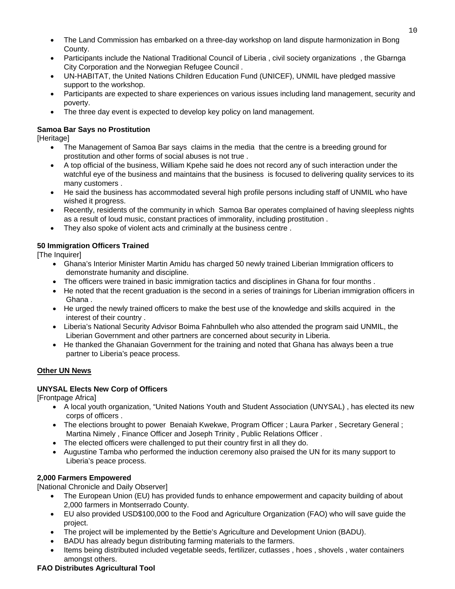- The Land Commission has embarked on a three-day workshop on land dispute harmonization in Bong County.
- Participants include the National Traditional Council of Liberia , civil society organizations , the Gbarnga City Corporation and the Norwegian Refugee Council .
- UN-HABITAT, the United Nations Children Education Fund (UNICEF), UNMIL have pledged massive support to the workshop.
- Participants are expected to share experiences on various issues including land management, security and poverty.
- The three day event is expected to develop key policy on land management.

### **Samoa Bar Says no Prostitution**

[Heritage]

- The Management of Samoa Bar says claims in the media that the centre is a breeding ground for prostitution and other forms of social abuses is not true .
- A top official of the business, William Kpehe said he does not record any of such interaction under the watchful eye of the business and maintains that the business is focused to delivering quality services to its many customers .
- He said the business has accommodated several high profile persons including staff of UNMIL who have wished it progress.
- Recently, residents of the community in which Samoa Bar operates complained of having sleepless nights as a result of loud music, constant practices of immorality, including prostitution .
- They also spoke of violent acts and criminally at the business centre .

### **50 Immigration Officers Trained**

[The Inquirer]

- Ghana's Interior Minister Martin Amidu has charged 50 newly trained Liberian Immigration officers to demonstrate humanity and discipline.
- The officers were trained in basic immigration tactics and disciplines in Ghana for four months.
- He noted that the recent graduation is the second in a series of trainings for Liberian immigration officers in Ghana .
- He urged the newly trained officers to make the best use of the knowledge and skills acquired in the interest of their country .
- Liberia's National Security Advisor Boima Fahnbulleh who also attended the program said UNMIL, the Liberian Government and other partners are concerned about security in Liberia.
- He thanked the Ghanaian Government for the training and noted that Ghana has always been a true partner to Liberia's peace process.

### **Other UN News**

### **UNYSAL Elects New Corp of Officers**

[Frontpage Africa]

- A local youth organization, "United Nations Youth and Student Association (UNYSAL) , has elected its new corps of officers .
- The elections brought to power Benaiah Kwekwe, Program Officer ; Laura Parker, Secretary General ; Martina Nimely , Finance Officer and Joseph Trinity , Public Relations Officer .
- The elected officers were challenged to put their country first in all they do.
- Augustine Tamba who performed the induction ceremony also praised the UN for its many support to Liberia's peace process.

#### **2,000 Farmers Empowered**

[National Chronicle and Daily Observer]

- The European Union (EU) has provided funds to enhance empowerment and capacity building of about 2,000 farmers in Montserrado County.
- EU also provided USD\$100,000 to the Food and Agriculture Organization (FAO) who will save guide the project.
- The project will be implemented by the Bettie's Agriculture and Development Union (BADU).
- BADU has already begun distributing farming materials to the farmers.
- Items being distributed included vegetable seeds, fertilizer, cutlasses , hoes , shovels , water containers amongst others.

### **FAO Distributes Agricultural Tool**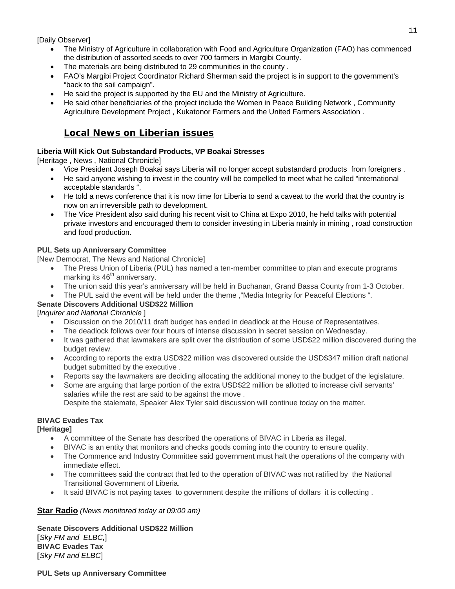[Daily Observer]

- The Ministry of Agriculture in collaboration with Food and Agriculture Organization (FAO) has commenced the distribution of assorted seeds to over 700 farmers in Margibi County.
- The materials are being distributed to 29 communities in the county .
- FAO's Margibi Project Coordinator Richard Sherman said the project is in support to the government's "back to the sail campaign".
- He said the project is supported by the EU and the Ministry of Agriculture.
- He said other beneficiaries of the project include the Women in Peace Building Network , Community Agriculture Development Project , Kukatonor Farmers and the United Farmers Association .

### **Local News on Liberian issues**

### **Liberia Will Kick Out Substandard Products, VP Boakai Stresses**

[Heritage , News , National Chronicle]

- Vice President Joseph Boakai says Liberia will no longer accept substandard products from foreigners .
- He said anyone wishing to invest in the country will be compelled to meet what he called "international" acceptable standards ".
- He told a news conference that it is now time for Liberia to send a caveat to the world that the country is now on an irreversible path to development.
- The Vice President also said during his recent visit to China at Expo 2010, he held talks with potential private investors and encouraged them to consider investing in Liberia mainly in mining , road construction and food production.

### **PUL Sets up Anniversary Committee**

[New Democrat, The News and National Chronicle]

- The Press Union of Liberia (PUL) has named a ten-member committee to plan and execute programs marking its  $46<sup>th</sup>$  anniversary.
- The union said this year's anniversary will be held in Buchanan, Grand Bassa County from 1-3 October.
- The PUL said the event will be held under the theme ,"Media Integrity for Peaceful Elections ".

#### **Senate Discovers Additional USD\$22 Million**

#### [*Inquirer and National Chronicle* ]

- Discussion on the 2010/11 draft budget has ended in deadlock at the House of Representatives.
- The deadlock follows over four hours of intense discussion in secret session on Wednesday.
- It was gathered that lawmakers are split over the distribution of some USD\$22 million discovered during the budget review.
- According to reports the extra USD\$22 million was discovered outside the USD\$347 million draft national budget submitted by the executive .
- Reports say the lawmakers are deciding allocating the additional money to the budget of the legislature.
- Some are arguing that large portion of the extra USD\$22 million be allotted to increase civil servants' salaries while the rest are said to be against the move .
	- Despite the stalemate, Speaker Alex Tyler said discussion will continue today on the matter.

### **BIVAC Evades Tax**

#### **[Heritage]**

- A committee of the Senate has described the operations of BIVAC in Liberia as illegal.
- BIVAC is an entity that monitors and checks goods coming into the country to ensure quality.
- The Commence and Industry Committee said government must halt the operations of the company with immediate effect.
- The committees said the contract that led to the operation of BIVAC was not ratified by the National Transitional Government of Liberia.
- It said BIVAC is not paying taxes to government despite the millions of dollars it is collecting .

### **Star Radio** *(News monitored today at 09:00 am)*

**Senate Discovers Additional USD\$22 Million [***Sky FM and ELBC,*] **BIVAC Evades Tax [***Sky FM and ELBC*]

**PUL Sets up Anniversary Committee**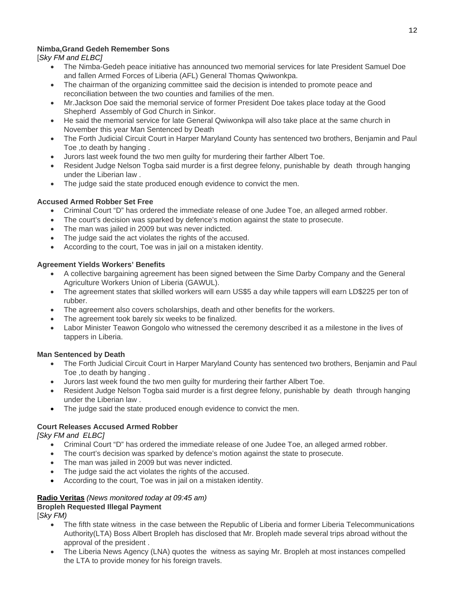### **Nimba,Grand Gedeh Remember Sons**

### [*Sky FM and ELBC]*

- The Nimba-Gedeh peace initiative has announced two memorial services for late President Samuel Doe and fallen Armed Forces of Liberia (AFL) General Thomas Qwiwonkpa.
- The chairman of the organizing committee said the decision is intended to promote peace and reconciliation between the two counties and families of the men.
- Mr.Jackson Doe said the memorial service of former President Doe takes place today at the Good Shepherd Assembly of God Church in Sinkor.
- He said the memorial service for late General Qwiwonkpa will also take place at the same church in November this year Man Sentenced by Death
- The Forth Judicial Circuit Court in Harper Maryland County has sentenced two brothers, Benjamin and Paul Toe ,to death by hanging .
- Jurors last week found the two men guilty for murdering their farther Albert Toe.
- Resident Judge Nelson Togba said murder is a first degree felony, punishable by death through hanging under the Liberian law .
- The judge said the state produced enough evidence to convict the men.

### **Accused Armed Robber Set Free**

- Criminal Court "D" has ordered the immediate release of one Judee Toe, an alleged armed robber.
- The court's decision was sparked by defence's motion against the state to prosecute.
- The man was jailed in 2009 but was never indicted.
- The judge said the act violates the rights of the accused.
- According to the court, Toe was in jail on a mistaken identity.

#### **Agreement Yields Workers' Benefits**

- A collective bargaining agreement has been signed between the Sime Darby Company and the General Agriculture Workers Union of Liberia (GAWUL).
- The agreement states that skilled workers will earn US\$5 a day while tappers will earn LD\$225 per ton of rubber.
- The agreement also covers scholarships, death and other benefits for the workers.
- The agreement took barely six weeks to be finalized.
- Labor Minister Teawon Gongolo who witnessed the ceremony described it as a milestone in the lives of tappers in Liberia.

### **Man Sentenced by Death**

- The Forth Judicial Circuit Court in Harper Maryland County has sentenced two brothers, Benjamin and Paul Toe ,to death by hanging .
- Jurors last week found the two men guilty for murdering their farther Albert Toe.
- Resident Judge Nelson Togba said murder is a first degree felony, punishable by death through hanging under the Liberian law .
- The judge said the state produced enough evidence to convict the men.

### **Court Releases Accused Armed Robber**

*[Sky FM and ELBC]*

- Criminal Court "D" has ordered the immediate release of one Judee Toe, an alleged armed robber.
- The court's decision was sparked by defence's motion against the state to prosecute.
- The man was jailed in 2009 but was never indicted.
- The judge said the act violates the rights of the accused.
- According to the court, Toe was in jail on a mistaken identity.

### **Radio Veritas** *(News monitored today at 09:45 am)*

### **Bropleh Requested Illegal Payment**

[*Sky FM)*

- The fifth state witness in the case between the Republic of Liberia and former Liberia Telecommunications Authority(LTA) Boss Albert Bropleh has disclosed that Mr. Bropleh made several trips abroad without the approval of the president .
- The Liberia News Agency (LNA) quotes the witness as saying Mr. Bropleh at most instances compelled the LTA to provide money for his foreign travels.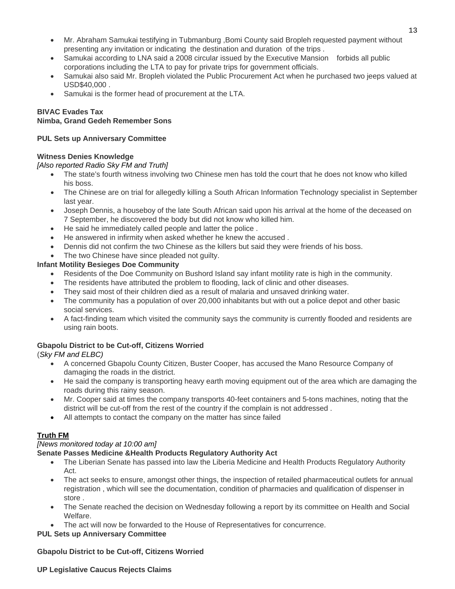- Mr. Abraham Samukai testifying in Tubmanburg ,Bomi County said Bropleh requested payment without presenting any invitation or indicating the destination and duration of the trips .
- Samukai according to LNA said a 2008 circular issued by the Executive Mansion forbids all public corporations including the LTA to pay for private trips for government officials.
- Samukai also said Mr. Bropleh violated the Public Procurement Act when he purchased two jeeps valued at USD\$40,000 .
- Samukai is the former head of procurement at the LTA.

### **BIVAC Evades Tax**

### **Nimba, Grand Gedeh Remember Sons**

### **PUL Sets up Anniversary Committee**

### **Witness Denies Knowledge**

### *[Also reported Radio Sky FM and Truth]*

- The state's fourth witness involving two Chinese men has told the court that he does not know who killed his boss.
- The Chinese are on trial for allegedly killing a South African Information Technology specialist in September last year.
- Joseph Dennis, a houseboy of the late South African said upon his arrival at the home of the deceased on 7 September, he discovered the body but did not know who killed him.
- He said he immediately called people and latter the police .
- He answered in infirmity when asked whether he knew the accused .
- Dennis did not confirm the two Chinese as the killers but said they were friends of his boss.
- The two Chinese have since pleaded not quilty.

### **Infant Motility Besieges Doe Community**

- Residents of the Doe Community on Bushord Island say infant motility rate is high in the community.
- The residents have attributed the problem to flooding, lack of clinic and other diseases.
- They said most of their children died as a result of malaria and unsaved drinking water.
- The community has a population of over 20,000 inhabitants but with out a police depot and other basic social services.
- A fact-finding team which visited the community says the community is currently flooded and residents are using rain boots.

# **Gbapolu District to be Cut-off, Citizens Worried**

### (*Sky FM and ELBC)*

- A concerned Gbapolu County Citizen, Buster Cooper, has accused the Mano Resource Company of damaging the roads in the district.
- He said the company is transporting heavy earth moving equipment out of the area which are damaging the roads during this rainy season.
- Mr. Cooper said at times the company transports 40-feet containers and 5-tons machines, noting that the district will be cut-off from the rest of the country if the complain is not addressed .
- All attempts to contact the company on the matter has since failed

# **Truth FM**

# *[News monitored today at 10:00 am]*

### **Senate Passes Medicine &Health Products Regulatory Authority Act**

- The Liberian Senate has passed into law the Liberia Medicine and Health Products Regulatory Authority Act.
- The act seeks to ensure, amongst other things, the inspection of retailed pharmaceutical outlets for annual registration , which will see the documentation, condition of pharmacies and qualification of dispenser in store .
- The Senate reached the decision on Wednesday following a report by its committee on Health and Social Welfare.
- The act will now be forwarded to the House of Representatives for concurrence.

**PUL Sets up Anniversary Committee** 

# **Gbapolu District to be Cut-off, Citizens Worried**

# **UP Legislative Caucus Rejects Claims**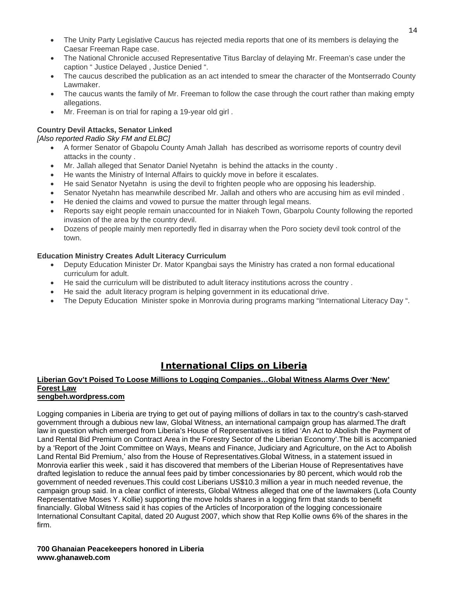- The Unity Party Legislative Caucus has rejected media reports that one of its members is delaying the Caesar Freeman Rape case.
- The National Chronicle accused Representative Titus Barclay of delaying Mr. Freeman's case under the caption " Justice Delayed , Justice Denied ".
- The caucus described the publication as an act intended to smear the character of the Montserrado County Lawmaker.
- The caucus wants the family of Mr. Freeman to follow the case through the court rather than making empty allegations.
- Mr. Freeman is on trial for raping a 19-year old girl .

### **Country Devil Attacks, Senator Linked**

#### *[Also reported Radio Sky FM and ELBC]*

- A former Senator of Gbapolu County Amah Jallah has described as worrisome reports of country devil attacks in the county .
- Mr. Jallah alleged that Senator Daniel Nyetahn is behind the attacks in the county .
- He wants the Ministry of Internal Affairs to quickly move in before it escalates.
- He said Senator Nyetahn is using the devil to frighten people who are opposing his leadership.
- Senator Nyetahn has meanwhile described Mr. Jallah and others who are accusing him as evil minded .
- He denied the claims and vowed to pursue the matter through legal means.
- Reports say eight people remain unaccounted for in Niakeh Town, Gbarpolu County following the reported invasion of the area by the country devil.
- Dozens of people mainly men reportedly fled in disarray when the Poro society devil took control of the town.

### **Education Ministry Creates Adult Literacy Curriculum**

- Deputy Education Minister Dr. Mator Kpangbai says the Ministry has crated a non formal educational curriculum for adult.
- He said the curriculum will be distributed to adult literacy institutions across the country .
- He said the adult literacy program is helping government in its educational drive.
- The Deputy Education Minister spoke in Monrovia during programs marking "International Literacy Day ".

# **International Clips on Liberia**

#### **[Liberian Gov't Poised To Loose Millions to Logging Companies…Global Witness Alarms Over 'New'](http://sengbeh.wordpress.com/2010/09/09/liberian-gov%e2%80%99t-poised-to-loose-millions-to-logging-companies-global-witness-alarms-over-new-forest-law/)  [Forest Law](http://sengbeh.wordpress.com/2010/09/09/liberian-gov%e2%80%99t-poised-to-loose-millions-to-logging-companies-global-witness-alarms-over-new-forest-law/) [sengbeh.wordpress.com](http://sengbeh.wordpress.com/)**

Logging companies in Liberia are trying to get out of paying millions of dollars in tax to the country's cash-starved government through a dubious new law, Global Witness, an international campaign group has alarmed.The draft law in question which emerged from Liberia's House of Representatives is titled 'An Act to Abolish the Payment of Land Rental Bid Premium on Contract Area in the Forestry Sector of the Liberian Economy'.The bill is accompanied by a 'Report of the Joint Committee on Ways, Means and Finance, Judiciary and Agriculture, on the Act to Abolish Land Rental Bid Premium,' also from the House of Representatives.Global Witness, in a statement issued in Monrovia earlier this week , said it has discovered that members of the Liberian House of Representatives have drafted legislation to reduce the annual fees paid by timber concessionaries by 80 percent, which would rob the government of needed revenues.This could cost Liberians US\$10.3 million a year in much needed revenue, the campaign group said. In a clear conflict of interests, Global Witness alleged that one of the lawmakers (Lofa County Representative Moses Y. Kollie) supporting the move holds shares in a logging firm that stands to benefit financially. Global Witness said it has copies of the Articles of Incorporation of the logging concessionaire International Consultant Capital, dated 20 August 2007, which show that Rep Kollie owns 6% of the shares in the firm.

**700 Ghanaian Peacekeepers honored in Liberia www.ghanaweb.com**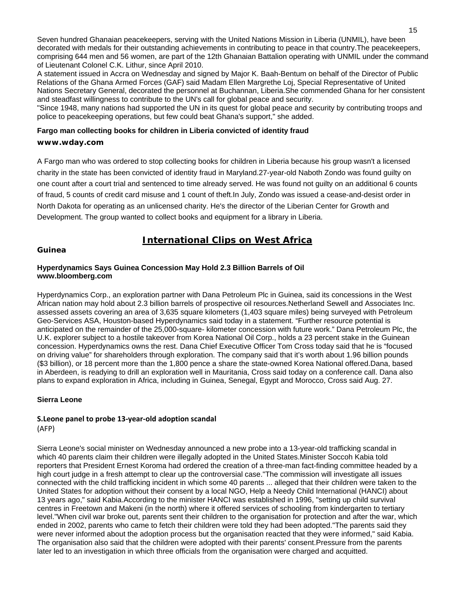Seven hundred Ghanaian peacekeepers, serving with the United Nations Mission in Liberia (UNMIL), have been decorated with medals for their outstanding achievements in contributing to peace in that country.The peacekeepers, comprising 644 men and 56 women, are part of the 12th Ghanaian Battalion operating with UNMIL under the command of Lieutenant Colonel C.K. Lithur, since April 2010.

A statement issued in Accra on Wednesday and signed by Major K. Baah-Bentum on behalf of the Director of Public Relations of the Ghana Armed Forces (GAF) said Madam Ellen Margrethe Loj, Special Representative of United Nations Secretary General, decorated the personnel at Buchannan, Liberia.She commended Ghana for her consistent and steadfast willingness to contribute to the UN's call for global peace and security.

"Since 1948, many nations had supported the UN in its quest for global peace and security by contributing troops and police to peacekeeping operations, but few could beat Ghana's support," she added.

# **Fargo man collecting books for children in Liberia convicted of identity fraud**

#### **www.wday.com**

A Fargo man who was ordered to stop collecting books for children in Liberia because his group wasn't a licensed charity in the state has been convicted of identity fraud in Maryland.27-year-old Naboth Zondo was found guilty on one count after a court trial and sentenced to time already served. He was found not guilty on an additional 6 counts of fraud, 5 counts of credit card misuse and 1 count of theft.In July, Zondo was issued a cease-and-desist order in North Dakota for operating as an unlicensed charity. He's the director of the Liberian Center for Growth and Development. The group wanted to collect books and equipment for a library in Liberia.

### **International Clips on West Africa**

#### **Guinea**

#### **Hyperdynamics Says Guinea Concession May Hold 2.3 Billion Barrels of Oil www.bloomberg.com**

[Hyperdynamics Corp.](http://www.bloomberg.com/apps/quote?ticker=HDY:US), an exploration partner with [Dana Petroleum Plc](http://www.bloomberg.com/apps/quote?ticker=DNX:LN) in Guinea, said its concessions in the West African nation may hold about 2.3 billion barrels of prospective oil resources[.Netherland Sewell and Associates Inc.](http://www.netherlandsewell.com/) assessed assets covering an area of 3,635 square kilometers (1,403 square miles) being surveyed with Petroleum Geo-Services ASA, Houston-based Hyperdynamics said today in a statement. "Further resource potential is anticipated on the remainder of the 25,000-square- kilometer concession with future work." Dana Petroleum Plc, the U.K. explorer subject to a hostile takeover from Korea National Oil Corp., holds a 23 percent stake in the Guinean concession. Hyperdynamics owns the rest. Dana Chief Executive Officer [Tom Cross](http://search.bloomberg.com/search?q=Tom%20Cross&site=wnews&client=wnews&proxystylesheet=wnews&output=xml_no_dtd&ie=UTF-8&oe=UTF-8&filter=p&getfields=wnnis&sort=date:D:S:d1&partialfields=-wnnis:NOAVSYND&lr=-lang_ja) today said that he is "focused on driving value" for shareholders through exploration. The company said that it's worth about 1.96 billion pounds (\$3 billion), or 18 percent more than the 1,800 pence a share the state-owned Korea National offered.Dana, based in Aberdeen, is readying to drill an exploration well in Mauritania, Cross said today on a conference call. Dana also plans to expand exploration in Africa, including in Guinea, Senegal, Egypt and Morocco, Cross said Aug. 27.

### **Sierra Leone**

# **S.Leone panel to probe 13‐year‐old adoption scandal**

#### (AFP)

Sierra Leone's social minister on Wednesday announced a new probe into a 13-year-old trafficking scandal in which 40 parents claim their children were illegally adopted in the United States.Minister Soccoh Kabia told reporters that President Ernest Koroma had ordered the creation of a three-man fact-finding committee headed by a high court judge in a fresh attempt to clear up the controversial case."The commission will investigate all issues connected with the child trafficking incident in which some 40 parents ... alleged that their children were taken to the United States for adoption without their consent by a local NGO, Help a Needy Child International (HANCI) about 13 years ago," said Kabia.According to the minister HANCI was established in 1996, "setting up child survival centres in Freetown and Makeni (in the north) where it offered services of schooling from kindergarten to tertiary level."When civil war broke out, parents sent their children to the organisation for protection and after the war, which ended in 2002, parents who came to fetch their children were told they had been adopted."The parents said they were never informed about the adoption process but the organisation reacted that they were informed," said Kabia. The organisation also said that the children were adopted with their parents' consent.Pressure from the parents later led to an investigation in which three officials from the organisation were charged and acquitted.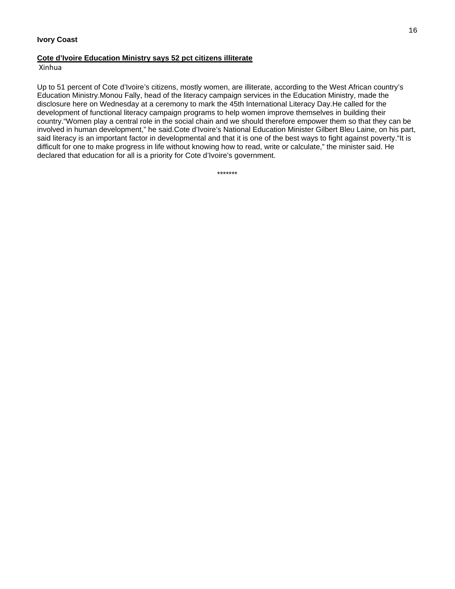#### **[Cote d'Ivoire Education Ministry says 52 pct citizens illiterate](http://tantaonews.com/?p=43646)**

Xinhua

Up to 51 percent of Cote d'Ivoire's citizens, mostly women, are illiterate, according to the West African country's Education Ministry.Monou Fally, head of the literacy campaign services in the Education Ministry, made the disclosure here on Wednesday at a ceremony to mark the 45th International Literacy Day.He called for the development of functional literacy campaign programs to help women improve themselves in building their country."Women play a central role in the social chain and we should therefore empower them so that they can be involved in human development," he said.Cote d'Ivoire's National Education Minister Gilbert Bleu Laine, on his part, said literacy is an important factor in developmental and that it is one of the best ways to fight against poverty."It is difficult for one to make progress in life without knowing how to read, write or calculate," the minister said. He declared that education for all is a priority for Cote d'Ivoire's government.

\*\*\*\*\*\*\*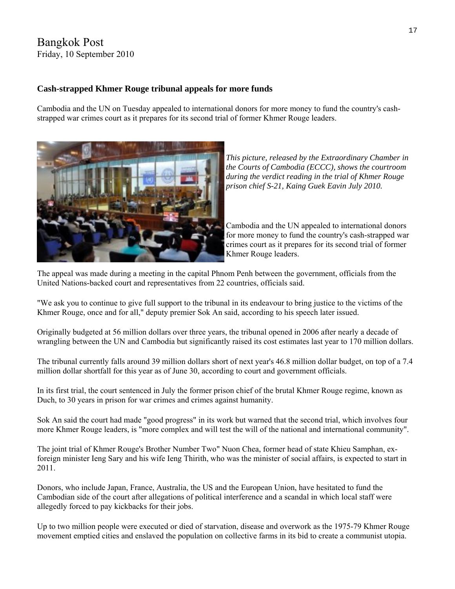### Bangkok Post Friday, 10 September 2010

### **Cash-strapped Khmer Rouge tribunal appeals for more funds**

Cambodia and the UN on Tuesday appealed to international donors for more money to fund the country's cashstrapped war crimes court as it prepares for its second trial of former Khmer Rouge leaders.



*This picture, released by the Extraordinary Chamber in the Courts of Cambodia (ECCC), shows the courtroom during the verdict reading in the trial of Khmer Rouge prison chief S-21, Kaing Guek Eavin July 2010.* 

Cambodia and the UN appealed to international donors for more money to fund the country's cash-strapped war crimes court as it prepares for its second trial of former Khmer Rouge leaders.

The appeal was made during a meeting in the capital Phnom Penh between the government, officials from the United Nations-backed court and representatives from 22 countries, officials said.

"We ask you to continue to give full support to the tribunal in its endeavour to bring justice to the victims of the Khmer Rouge, once and for all," deputy premier Sok An said, according to his speech later issued.

Originally budgeted at 56 million dollars over three years, the tribunal opened in 2006 after nearly a decade of wrangling between the UN and Cambodia but significantly raised its cost estimates last year to 170 million dollars.

The tribunal currently falls around 39 million dollars short of next year's 46.8 million dollar budget, on top of a 7.4 million dollar shortfall for this year as of June 30, according to court and government officials.

In its first trial, the court sentenced in July the former prison chief of the brutal Khmer Rouge regime, known as Duch, to 30 years in prison for war crimes and crimes against humanity.

Sok An said the court had made "good progress" in its work but warned that the second trial, which involves four more Khmer Rouge leaders, is "more complex and will test the will of the national and international community".

The joint trial of Khmer Rouge's Brother Number Two" Nuon Chea, former head of state Khieu Samphan, exforeign minister Ieng Sary and his wife Ieng Thirith, who was the minister of social affairs, is expected to start in 2011.

Donors, who include Japan, France, Australia, the US and the European Union, have hesitated to fund the Cambodian side of the court after allegations of political interference and a scandal in which local staff were allegedly forced to pay kickbacks for their jobs.

Up to two million people were executed or died of starvation, disease and overwork as the 1975-79 Khmer Rouge movement emptied cities and enslaved the population on collective farms in its bid to create a communist utopia.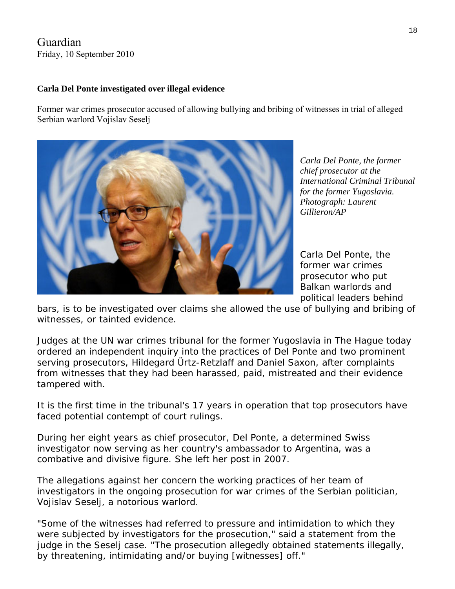# Guardian Friday, 10 September 2010

### **Carla Del Ponte investigated over illegal evidence**

Former war crimes prosecutor accused of allowing bullying and bribing of witnesses in trial of alleged Serbian warlord Vojislav Seselj



*Carla Del Ponte, the former chief prosecutor at the International Criminal Tribunal for the former Yugoslavia. Photograph: Laurent Gillieron/AP* 

Carla Del Ponte, the former [war crimes](http://www.guardian.co.uk/law/war-crimes) prosecutor who put Balkan warlords and political leaders behind

bars, is to be investigated over claims she allowed the use of bullying and bribing of witnesses, or tainted evidence.

Judges at the UN war crimes tribunal for the former Yugoslavia in The Hague today ordered an independent inquiry into the practices of Del Ponte and two prominent serving prosecutors, Hildegard Ürtz-Retzlaff and Daniel Saxon, after complaints from witnesses that they had been harassed, paid, mistreated and their evidence tampered with.

It is the first time in the tribunal's 17 years in operation that top prosecutors have faced potential contempt of court rulings.

During her eight years as chief prosecutor, Del Ponte, a determined Swiss investigator now serving as her country's ambassador to Argentina, was a combative and divisive figure. She left her post in 2007.

The allegations against her concern the working practices of her team of investigators in the ongoing prosecution for war crimes of the Serbian politician, Vojislav Seselj, a notorious warlord.

"Some of the witnesses had referred to pressure and intimidation to which they were subjected by investigators for the prosecution," said a statement from the judge in the Seselj case. "The prosecution allegedly obtained statements illegally, by threatening, intimidating and/or buying [witnesses] off."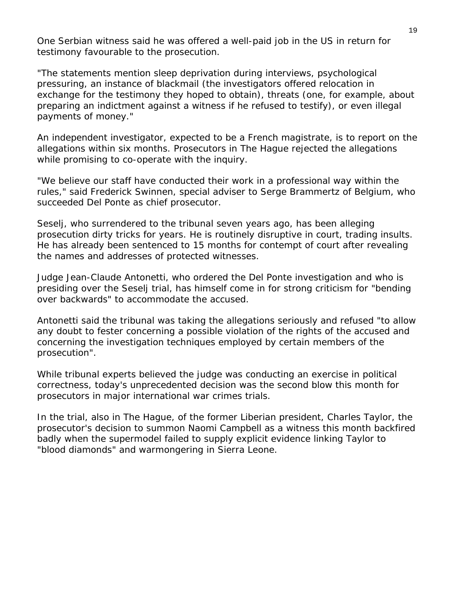One Serbian witness said he was offered a well-paid job in the US in return for testimony favourable to the prosecution.

"The statements mention sleep deprivation during interviews, psychological pressuring, an instance of blackmail (the investigators offered relocation in exchange for the testimony they hoped to obtain), threats (one, for example, about preparing an indictment against a witness if he refused to testify), or even illegal payments of money."

An independent investigator, expected to be a French magistrate, is to report on the allegations within six months. Prosecutors in The Hague rejected the allegations while promising to co-operate with the inquiry.

"We believe our staff have conducted their work in a professional way within the rules," said Frederick Swinnen, special adviser to Serge Brammertz of Belgium, who succeeded Del Ponte as chief prosecutor.

Seselj, who surrendered to the tribunal seven years ago, has been alleging prosecution dirty tricks for years. He is routinely disruptive in court, trading insults. He has already been sentenced to 15 months for contempt of court after revealing the names and addresses of protected witnesses.

Judge Jean-Claude Antonetti, who ordered the Del Ponte investigation and who is presiding over the Seselj trial, has himself come in for strong criticism for "bending over backwards" to accommodate the accused.

Antonetti said the tribunal was taking the allegations seriously and refused "to allow any doubt to fester concerning a possible violation of the rights of the accused and concerning the investigation techniques employed by certain members of the prosecution".

While tribunal experts believed the judge was conducting an exercise in political correctness, today's unprecedented decision was the second blow this month for prosecutors in major international war crimes trials.

In the trial, also in The Hague, of the former Liberian president, Charles Taylor, the prosecutor's decision to summon Naomi Campbell as a witness this month backfired badly when the supermodel failed to supply explicit evidence linking Taylor to "blood diamonds" and warmongering in Sierra Leone.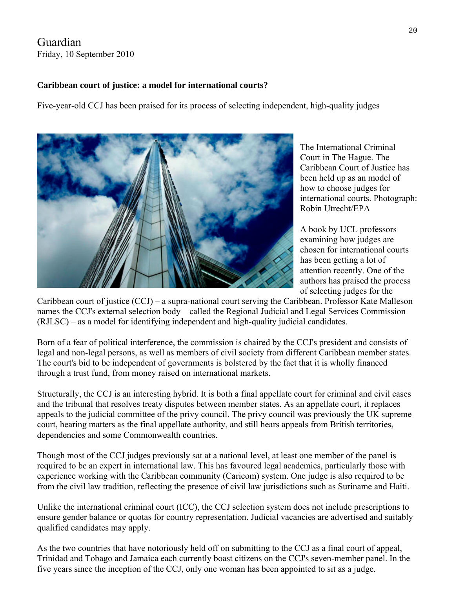# Guardian Friday, 10 September 2010

### **Caribbean court of justice: a model for international courts?**

Five-year-old CCJ has been praised for its process of selecting independent, high-quality judges



international courts. Photograph: The International Criminal Court in The Hague. The Caribbean Court of Justice has been held up as an model of how to choose judges for Robin Utrecht/EPA

A book by UCL professors [examining how judges are](http://www.guardian.co.uk/law/2010/sep/08/law-international-court-justice-legal)  [chosen for international courts](http://www.guardian.co.uk/law/2010/sep/08/law-international-court-justice-legal) has been getting a lot of attention recently. One of the authors has praised the process of selecting judges for the

[Caribbean court of justice](http://www.caribbeancourtofjustice.org/) (CCJ) – a supra-national court serving the Caribbean. Professor Kate Malleson names the CCJ's external selection body – called the Regional Judicial and Legal Services Commission (RJLSC) – as a model for identifying independent and high-quality judicial candidates.

Born of a fear of political interference, the commission is chaired by the CCJ's president and consists of legal and non-legal persons, as well as members of civil society from different Caribbean member states. The court's bid to be independent of governments is bolstered by the fact that it is wholly financed through a trust fund, from money raised on international markets.

Structurally, the CCJ is an interesting hybrid. It is both a final appellate court for criminal and civil cases and the tribunal that resolves treaty disputes between member states. As an appellate court, it replaces appeals to the judicial committee of the privy council. The privy council was previously the UK supreme court, hearing matters as the final appellate authority, and still hears appeals from British territories, dependencies and some Commonwealth countries.

Though most of the CCJ judges previously sat at a national level, at least one member of the panel is required to be an expert in international law. This has favoured legal academics, particularly those with experience working with the Caribbean community (Caricom) system. One judge is also required to be from the civil law tradition, reflecting the presence of civil law jurisdictions such as Suriname and Haiti.

Unlike the [international criminal court](http://www.guardian.co.uk/law/international-criminal-court) (ICC), the CCJ selection system does not include prescriptions to ensure gender balance or quotas for country representation. Judicial vacancies are advertised and suitably qualified candidates may apply.

As the two countries that have notoriously held off on submitting to the CCJ as a final court of appeal, [Trinidad and Tobago](http://www.guardian.co.uk/world/trinidad-and-tobago) and [Jamaica](http://www.guardian.co.uk/world/jamaica) each currently boast citizens on the CCJ's seven-member panel. In the five years since the inception of the CCJ, only one woman has been appointed to sit as a judge.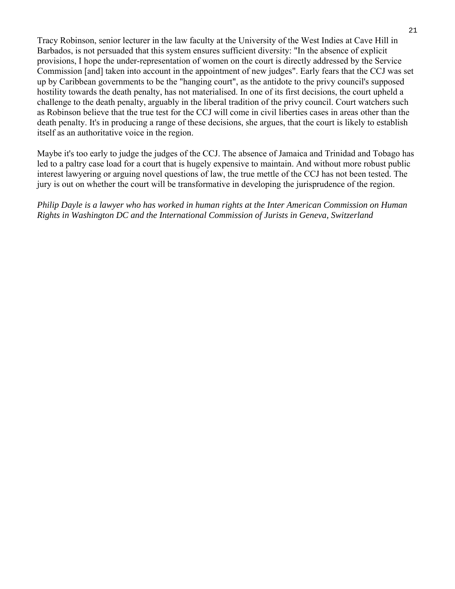Tracy Robinson, senior lecturer in the law faculty at the University of the West Indies at Cave Hill in Barbados, is not persuaded that this system ensures sufficient diversity: "In the absence of explicit provisions, I hope the under-representation of women on the court is directly addressed by the Service Commission [and] taken into account in the appointment of new judges". Early fears that the CCJ was set up by Caribbean governments to be the "hanging court", as the antidote to the privy council's supposed hostility towards the death penalty, has not materialised. In one of its first decisions, the court [upheld a](http://www.caribbeancourtofjustice.org/judgments/cv2_2005/judgment/5.%20Judgment%20-%20Hon.%20Justice%20Nelson.pdf)  [challenge to the death penalty](http://www.caribbeancourtofjustice.org/judgments/cv2_2005/judgment/5.%20Judgment%20-%20Hon.%20Justice%20Nelson.pdf), arguably in the liberal tradition of the privy council. Court watchers such as Robinson believe that the true test for the CCJ will come in civil liberties cases in areas other than the death penalty. It's in producing a range of these decisions, she argues, that the court is likely to establish itself as an authoritative voice in the region.

Maybe it's too early to judge the judges of the CCJ. The absence of Jamaica and Trinidad and Tobago has led to a paltry case load for a court that is hugely expensive to maintain. And without more robust public interest lawyering or arguing novel questions of law, the true mettle of the CCJ has not been tested. The jury is out on whether the court will be transformative in developing the jurisprudence of the region.

*Philip Dayle is a lawyer who has worked in human rights at the Inter American Commission on Human Rights in Washington DC and the International Commission of Jurists in Geneva, Switzerland*